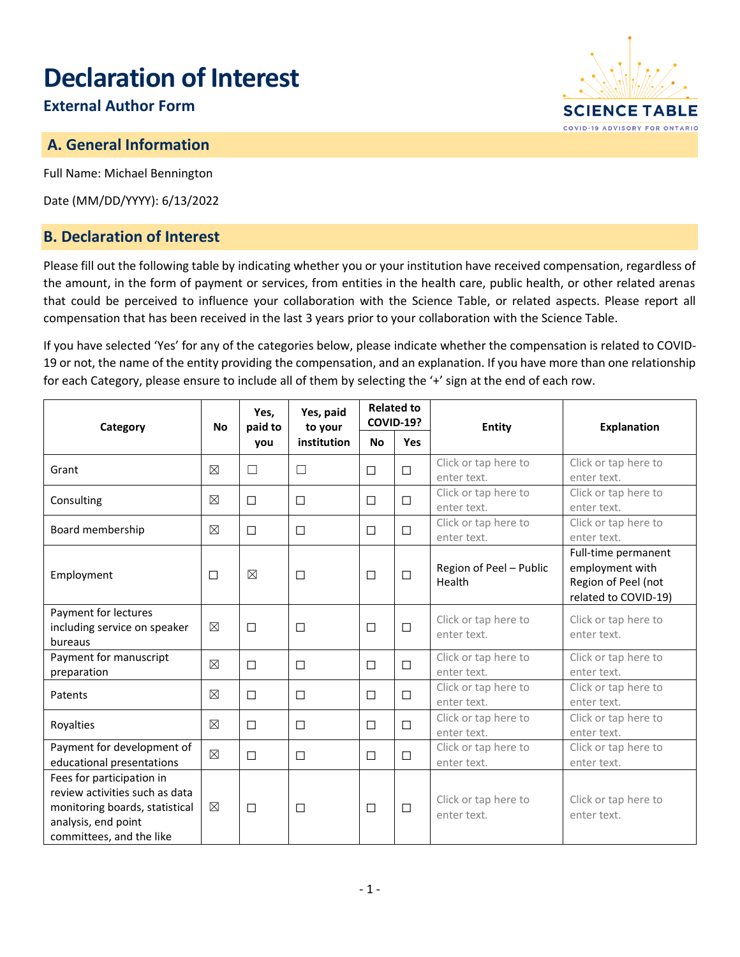# **Declaration of Interest**

## **External Author Form**

## **A. General Information**

Full Name: Michael Bennington

Date (MM/DD/YYYY): 6/13/2022

#### **B. Declaration of Interest**

Please fill out the following table by indicating whether you or your institution have received compensation, regardless of the amount, in the form of payment or services, from entities in the health care, public health, or other related arenas that could be perceived to influence your collaboration with the Science Table, or related aspects. Please report all compensation that has been received in the last 3 years prior to your collaboration with the Science Table.

If you have selected 'Yes' for any of the categories below, please indicate whether the compensation is related to COVID-19 or not, the name of the entity providing the compensation, and an explanation. If you have more than one relationship for each Category, please ensure to include all of them by selecting the '+' sign at the end of each row.

| Category                                                                                                                                         | <b>No</b>   | Yes,<br>paid to<br>you | Yes, paid<br>to your<br>institution | <b>Related to</b><br><b>COVID-19?</b> |            | <b>Entity</b>                       | <b>Explanation</b>                                                                    |
|--------------------------------------------------------------------------------------------------------------------------------------------------|-------------|------------------------|-------------------------------------|---------------------------------------|------------|-------------------------------------|---------------------------------------------------------------------------------------|
|                                                                                                                                                  |             |                        |                                     | <b>No</b>                             | <b>Yes</b> |                                     |                                                                                       |
| Grant                                                                                                                                            | $\boxtimes$ | $\Box$                 | $\Box$                              | $\Box$                                | $\Box$     | Click or tap here to<br>enter text. | Click or tap here to<br>enter text.                                                   |
| Consulting                                                                                                                                       | $\boxtimes$ | $\Box$                 | □                                   | $\Box$                                | $\Box$     | Click or tap here to<br>enter text. | Click or tap here to<br>enter text.                                                   |
| Board membership                                                                                                                                 | $\boxtimes$ | $\Box$                 | □                                   | $\Box$                                | $\Box$     | Click or tap here to<br>enter text. | Click or tap here to<br>enter text.                                                   |
| Employment                                                                                                                                       | $\Box$      | $\boxtimes$            | □                                   | $\Box$                                | $\Box$     | Region of Peel - Public<br>Health   | Full-time permanent<br>employment with<br>Region of Peel (not<br>related to COVID-19) |
| Payment for lectures<br>including service on speaker<br>bureaus                                                                                  | $\boxtimes$ | П                      | П                                   | П                                     | $\Box$     | Click or tap here to<br>enter text. | Click or tap here to<br>enter text.                                                   |
| Payment for manuscript<br>preparation                                                                                                            | $\boxtimes$ | $\Box$                 | □                                   | $\Box$                                | $\Box$     | Click or tap here to<br>enter text. | Click or tap here to<br>enter text.                                                   |
| Patents                                                                                                                                          | $\boxtimes$ | □                      | □                                   | □                                     | $\Box$     | Click or tap here to<br>enter text. | Click or tap here to<br>enter text.                                                   |
| Royalties                                                                                                                                        | $\boxtimes$ | $\Box$                 | □                                   | □                                     | $\Box$     | Click or tap here to<br>enter text. | Click or tap here to<br>enter text.                                                   |
| Payment for development of<br>educational presentations                                                                                          | $\boxtimes$ | $\Box$                 | □                                   | $\Box$                                | $\Box$     | Click or tap here to<br>enter text. | Click or tap here to<br>enter text.                                                   |
| Fees for participation in<br>review activities such as data<br>monitoring boards, statistical<br>analysis, end point<br>committees, and the like | $\boxtimes$ | $\Box$                 | □                                   | $\Box$                                | $\Box$     | Click or tap here to<br>enter text. | Click or tap here to<br>enter text.                                                   |